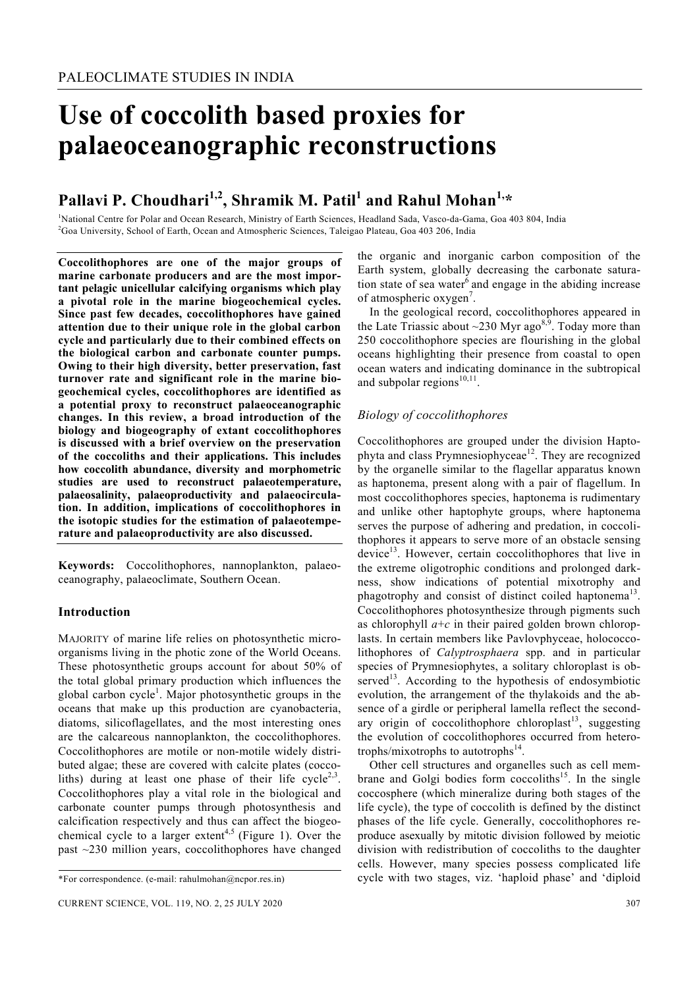# **Use of coccolith based proxies for palaeoceanographic reconstructions**

# **Pallavi P. Choudhari1,2, Shramik M. Patil1 and Rahul Mohan1,\***

1 National Centre for Polar and Ocean Research, Ministry of Earth Sciences, Headland Sada, Vasco-da-Gama, Goa 403 804, India 2 Goa University, School of Earth, Ocean and Atmospheric Sciences, Taleigao Plateau, Goa 403 206, India

**Coccolithophores are one of the major groups of marine carbonate producers and are the most important pelagic unicellular calcifying organisms which play a pivotal role in the marine biogeochemical cycles. Since past few decades, coccolithophores have gained attention due to their unique role in the global carbon cycle and particularly due to their combined effects on the biological carbon and carbonate counter pumps. Owing to their high diversity, better preservation, fast turnover rate and significant role in the marine biogeochemical cycles, coccolithophores are identified as a potential proxy to reconstruct palaeoceanographic changes. In this review, a broad introduction of the biology and biogeography of extant coccolithophores is discussed with a brief overview on the preservation of the coccoliths and their applications. This includes how coccolith abundance, diversity and morphometric studies are used to reconstruct palaeotemperature, palaeosalinity, palaeoproductivity and palaeocirculation. In addition, implications of coccolithophores in the isotopic studies for the estimation of palaeotemperature and palaeoproductivity are also discussed.** 

**Keywords:** Coccolithophores, nannoplankton, palaeoceanography, palaeoclimate, Southern Ocean.

#### **Introduction**

MAJORITY of marine life relies on photosynthetic microorganisms living in the photic zone of the World Oceans. These photosynthetic groups account for about 50% of the total global primary production which influences the global carbon cycle<sup>1</sup>. Major photosynthetic groups in the oceans that make up this production are cyanobacteria, diatoms, silicoflagellates, and the most interesting ones are the calcareous nannoplankton, the coccolithophores. Coccolithophores are motile or non-motile widely distributed algae; these are covered with calcite plates (coccoliths) during at least one phase of their life cycle<sup>2,3</sup>. Coccolithophores play a vital role in the biological and carbonate counter pumps through photosynthesis and calcification respectively and thus can affect the biogeochemical cycle to a larger extent<sup>4,5</sup> (Figure 1). Over the past ~230 million years, coccolithophores have changed

the organic and inorganic carbon composition of the Earth system, globally decreasing the carbonate saturation state of sea water<sup>6</sup> and engage in the abiding increase of atmospheric oxygen<sup>7</sup>.

 In the geological record, coccolithophores appeared in the Late Triassic about  $\sim$ 230 Myr ago<sup>8,9</sup>. Today more than 250 coccolithophore species are flourishing in the global oceans highlighting their presence from coastal to open ocean waters and indicating dominance in the subtropical and subpolar regions $10,11$ .

## *Biology of coccolithophores*

Coccolithophores are grouped under the division Haptophyta and class Prymnesiophyceae<sup>12</sup>. They are recognized by the organelle similar to the flagellar apparatus known as haptonema, present along with a pair of flagellum. In most coccolithophores species, haptonema is rudimentary and unlike other haptophyte groups, where haptonema serves the purpose of adhering and predation, in coccolithophores it appears to serve more of an obstacle sensing device<sup>13</sup>. However, certain coccolithophores that live in the extreme oligotrophic conditions and prolonged darkness, show indications of potential mixotrophy and phagotrophy and consist of distinct coiled haptonema<sup>13</sup>. Coccolithophores photosynthesize through pigments such as chlorophyll  $a+c$  in their paired golden brown chloroplasts. In certain members like Pavlovphyceae, holococcolithophores of *Calyptrosphaera* spp. and in particular species of Prymnesiophytes, a solitary chloroplast is observed $13$ . According to the hypothesis of endosymbiotic evolution, the arrangement of the thylakoids and the absence of a girdle or peripheral lamella reflect the secondary origin of coccolithophore chloroplast<sup>13</sup>, suggesting the evolution of coccolithophores occurred from heterotrophs/mixotrophs to autotrophs $^{14}$ .

 Other cell structures and organelles such as cell membrane and Golgi bodies form coccoliths<sup>15</sup>. In the single coccosphere (which mineralize during both stages of the life cycle), the type of coccolith is defined by the distinct phases of the life cycle. Generally, coccolithophores reproduce asexually by mitotic division followed by meiotic division with redistribution of coccoliths to the daughter cells. However, many species possess complicated life cycle with two stages, viz. 'haploid phase' and 'diploid

<sup>\*</sup>For correspondence. (e-mail: rahulmohan@ncpor.res.in)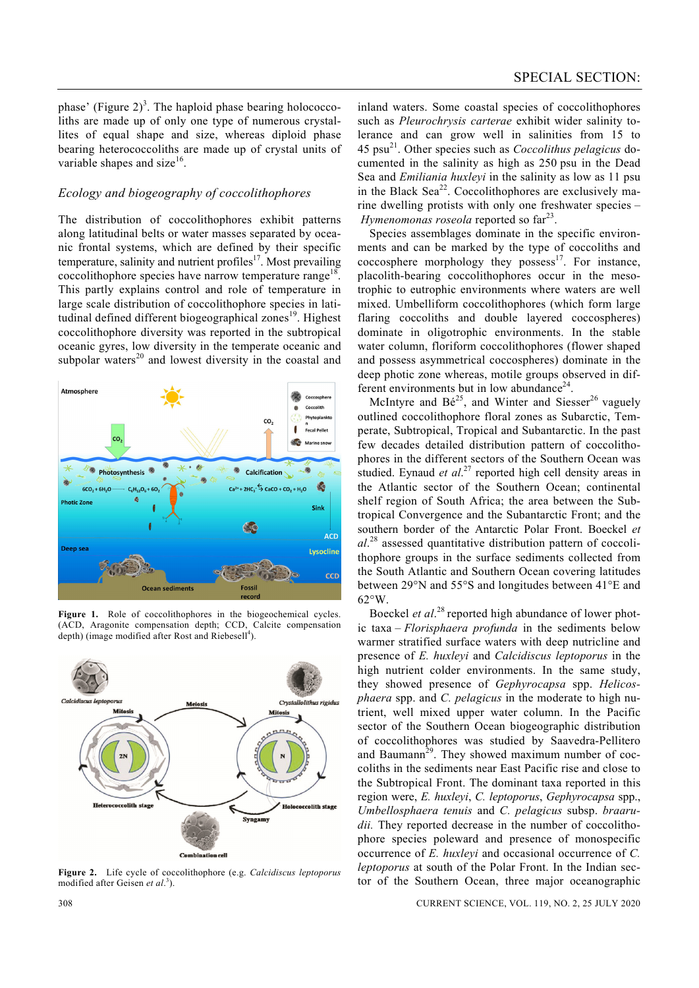phase' (Figure  $2^3$ ). The haploid phase bearing holococcoliths are made up of only one type of numerous crystallites of equal shape and size, whereas diploid phase bearing heterococcoliths are made up of crystal units of variable shapes and size $16$ .

#### *Ecology and biogeography of coccolithophores*

The distribution of coccolithophores exhibit patterns along latitudinal belts or water masses separated by oceanic frontal systems, which are defined by their specific temperature, salinity and nutrient profiles $17$ . Most prevailing coccolithophore species have narrow temperature range<sup>18</sup>. This partly explains control and role of temperature in large scale distribution of coccolithophore species in latitudinal defined different biogeographical zones<sup>19</sup>. Highest coccolithophore diversity was reported in the subtropical oceanic gyres, low diversity in the temperate oceanic and subpolar waters $^{20}$  and lowest diversity in the coastal and



**Figure 1.** Role of coccolithophores in the biogeochemical cycles. (ACD, Aragonite compensation depth; CCD, Calcite compensation depth) (image modified after Rost and Riebesell<sup>4</sup>).



**Figure 2.** Life cycle of coccolithophore (e.g. *Calcidiscus leptoporus*  modified after Geisen *et al*. 3 ).

inland waters. Some coastal species of coccolithophores such as *Pleurochrysis carterae* exhibit wider salinity tolerance and can grow well in salinities from 15 to 45 psu21. Other species such as *Coccolithus pelagicus* documented in the salinity as high as 250 psu in the Dead Sea and *Emiliania huxleyi* in the salinity as low as 11 psu in the Black  $\text{Sea}^{22}$ . Coccolithophores are exclusively marine dwelling protists with only one freshwater species – *Hymenomonas roseola* reported so far<sup>23</sup>.

 Species assemblages dominate in the specific environments and can be marked by the type of coccoliths and coccosphere morphology they possess<sup>17</sup>. For instance, placolith-bearing coccolithophores occur in the mesotrophic to eutrophic environments where waters are well mixed. Umbelliform coccolithophores (which form large flaring coccoliths and double layered coccospheres) dominate in oligotrophic environments. In the stable water column, floriform coccolithophores (flower shaped and possess asymmetrical coccospheres) dominate in the deep photic zone whereas, motile groups observed in different environments but in low abundance<sup>24</sup>.

McIntyre and  $Bé^{25}$ , and Winter and Siesser<sup>26</sup> vaguely outlined coccolithophore floral zones as Subarctic, Temperate, Subtropical, Tropical and Subantarctic. In the past few decades detailed distribution pattern of coccolithophores in the different sectors of the Southern Ocean was studied. Eynaud *et al.*<sup>27</sup> reported high cell density areas in the Atlantic sector of the Southern Ocean; continental shelf region of South Africa; the area between the Subtropical Convergence and the Subantarctic Front; and the southern border of the Antarctic Polar Front. Boeckel *et al*. 28 assessed quantitative distribution pattern of coccolithophore groups in the surface sediments collected from the South Atlantic and Southern Ocean covering latitudes between 29°N and 55°S and longitudes between 41°E and  $62^{\circ}$ W.

Boeckel *et al.*<sup>28</sup> reported high abundance of lower photic taxa – *Florisphaera profunda* in the sediments below warmer stratified surface waters with deep nutricline and presence of *E. huxleyi* and *Calcidiscus leptoporus* in the high nutrient colder environments. In the same study, they showed presence of *Gephyrocapsa* spp. *Helicosphaera* spp. and *C. pelagicus* in the moderate to high nutrient, well mixed upper water column. In the Pacific sector of the Southern Ocean biogeographic distribution of coccolithophores was studied by Saavedra-Pellitero and Baumann<sup>29</sup>. They showed maximum number of coccoliths in the sediments near East Pacific rise and close to the Subtropical Front. The dominant taxa reported in this region were, *E. huxleyi*, *C. leptoporus*, *Gephyrocapsa* spp., *Umbellosphaera tenuis* and *C. pelagicus* subsp. *braarudii.* They reported decrease in the number of coccolithophore species poleward and presence of monospecific occurrence of *E. huxleyi* and occasional occurrence of *C. leptoporus* at south of the Polar Front. In the Indian sector of the Southern Ocean, three major oceanographic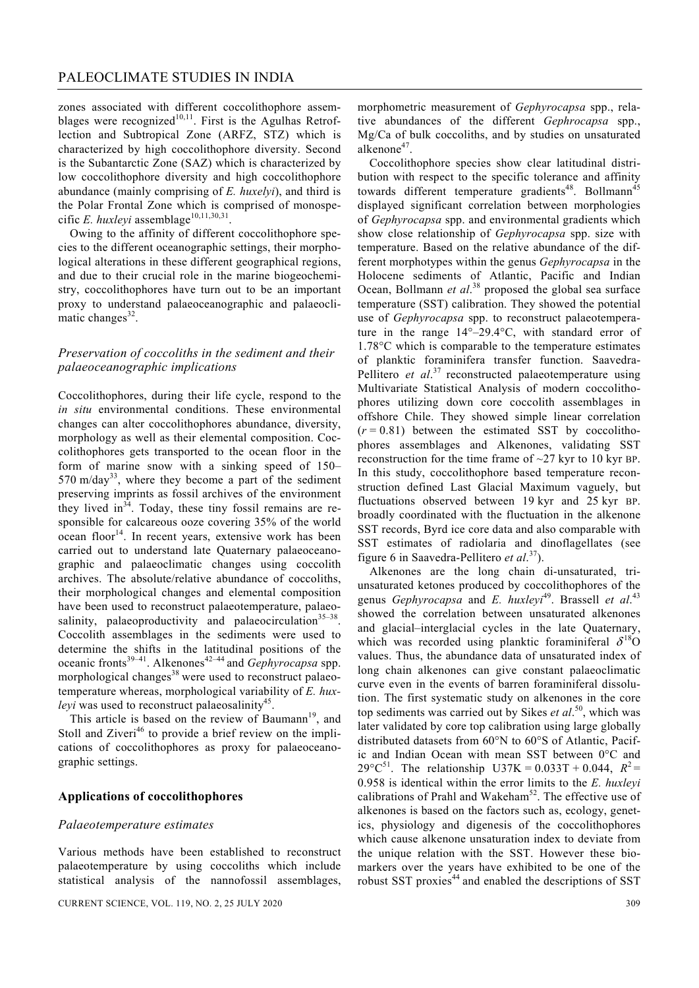zones associated with different coccolithophore assemblages were recognized<sup>10,11</sup>. First is the Agulhas Retroflection and Subtropical Zone (ARFZ, STZ) which is characterized by high coccolithophore diversity. Second is the Subantarctic Zone (SAZ) which is characterized by low coccolithophore diversity and high coccolithophore abundance (mainly comprising of *E. huxelyi*), and third is the Polar Frontal Zone which is comprised of monospecific *E. huxleyi* assemblage<sup>10,11,30,31</sup>.

 Owing to the affinity of different coccolithophore species to the different oceanographic settings, their morphological alterations in these different geographical regions, and due to their crucial role in the marine biogeochemistry, coccolithophores have turn out to be an important proxy to understand palaeoceanographic and palaeoclimatic changes $32$ .

### *Preservation of coccoliths in the sediment and their palaeoceanographic implications*

Coccolithophores, during their life cycle, respond to the *in situ* environmental conditions. These environmental changes can alter coccolithophores abundance, diversity, morphology as well as their elemental composition. Coccolithophores gets transported to the ocean floor in the form of marine snow with a sinking speed of 150–  $570 \text{ m/day}^{33}$ , where they become a part of the sediment preserving imprints as fossil archives of the environment they lived in $34$ . Today, these tiny fossil remains are responsible for calcareous ooze covering 35% of the world ocean floor<sup>14</sup>. In recent years, extensive work has been carried out to understand late Quaternary palaeoceanographic and palaeoclimatic changes using coccolith archives. The absolute/relative abundance of coccoliths, their morphological changes and elemental composition have been used to reconstruct palaeotemperature, palaeosalinity, palaeoproductivity and palaeocirculation $35-38$ . Coccolith assemblages in the sediments were used to determine the shifts in the latitudinal positions of the oceanic fronts39–41. Alkenones42–44 and *Gephyrocapsa* spp. morphological changes<sup>38</sup> were used to reconstruct palaeotemperature whereas, morphological variability of *E. huxleyi* was used to reconstruct palaeosalinity<sup>45</sup>.

This article is based on the review of Baumann<sup>19</sup>, and Stoll and Ziveri<sup>46</sup> to provide a brief review on the implications of coccolithophores as proxy for palaeoceanographic settings.

#### **Applications of coccolithophores**

#### *Palaeotemperature estimates*

Various methods have been established to reconstruct palaeotemperature by using coccoliths which include statistical analysis of the nannofossil assemblages, morphometric measurement of *Gephyrocapsa* spp., relative abundances of the different *Gephrocapsa* spp., Mg/Ca of bulk coccoliths, and by studies on unsaturated alkenone<sup>47</sup>.

 Coccolithophore species show clear latitudinal distribution with respect to the specific tolerance and affinity towards different temperature gradients<sup>48</sup>. Bollmann<sup>45</sup> displayed significant correlation between morphologies of *Gephyrocapsa* spp. and environmental gradients which show close relationship of *Gephyrocapsa* spp. size with temperature. Based on the relative abundance of the different morphotypes within the genus *Gephyrocapsa* in the Holocene sediments of Atlantic, Pacific and Indian Ocean, Bollmann *et al*. 38 proposed the global sea surface temperature (SST) calibration. They showed the potential use of *Gephyrocapsa* spp. to reconstruct palaeotemperature in the range 14°–29.4°C, with standard error of 1.78°C which is comparable to the temperature estimates of planktic foraminifera transfer function. Saavedra-Pellitero *et al.*<sup>37</sup> reconstructed palaeotemperature using Multivariate Statistical Analysis of modern coccolithophores utilizing down core coccolith assemblages in offshore Chile. They showed simple linear correlation  $(r = 0.81)$  between the estimated SST by coccolithophores assemblages and Alkenones, validating SST reconstruction for the time frame of ~27 kyr to 10 kyr BP. In this study, coccolithophore based temperature reconstruction defined Last Glacial Maximum vaguely, but fluctuations observed between 19 kyr and 25 kyr BP. broadly coordinated with the fluctuation in the alkenone SST records, Byrd ice core data and also comparable with SST estimates of radiolaria and dinoflagellates (see figure 6 in Saavedra-Pellitero *et al*. 37).

 Alkenones are the long chain di-unsaturated, triunsaturated ketones produced by coccolithophores of the genus *Gephyrocapsa* and *E. huxleyi*<sup>49</sup>. Brassell *et al.*<sup>43</sup> showed the correlation between unsaturated alkenones and glacial–interglacial cycles in the late Quaternary, which was recorded using planktic foraminiferal  $\delta^{18}$ O values. Thus, the abundance data of unsaturated index of long chain alkenones can give constant palaeoclimatic curve even in the events of barren foraminiferal dissolution. The first systematic study on alkenones in the core top sediments was carried out by Sikes *et al*. 50, which was later validated by core top calibration using large globally distributed datasets from 60°N to 60°S of Atlantic, Pacific and Indian Ocean with mean SST between 0°C and 29 $^{\circ}$ C<sup>51</sup>. The relationship U37K = 0.033T + 0.044,  $R^2$  = 0.958 is identical within the error limits to the *E. huxleyi*  calibrations of Prahl and Wakeham<sup>52</sup>. The effective use of alkenones is based on the factors such as, ecology, genetics, physiology and digenesis of the coccolithophores which cause alkenone unsaturation index to deviate from the unique relation with the SST. However these biomarkers over the years have exhibited to be one of the robust SST proxies<sup>44</sup> and enabled the descriptions of SST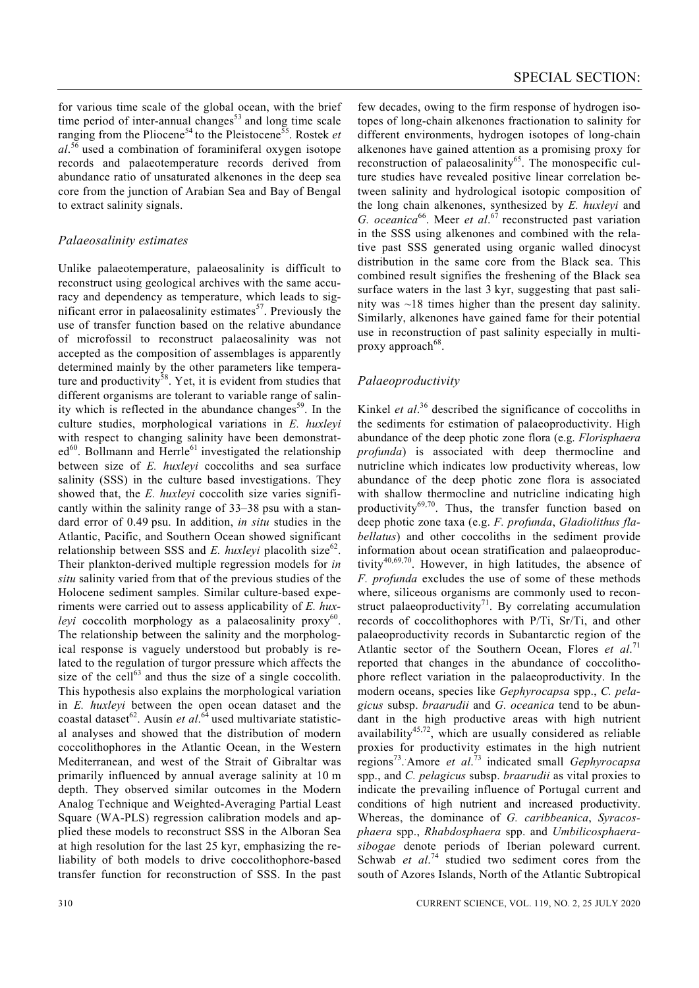for various time scale of the global ocean, with the brief time period of inter-annual changes $53$  and long time scale ranging from the Pliocene<sup>54</sup> to the Pleistocene<sup>55</sup>. Rostek *et al*. 56 used a combination of foraminiferal oxygen isotope records and palaeotemperature records derived from abundance ratio of unsaturated alkenones in the deep sea core from the junction of Arabian Sea and Bay of Bengal to extract salinity signals.

### *Palaeosalinity estimates*

Unlike palaeotemperature, palaeosalinity is difficult to reconstruct using geological archives with the same accuracy and dependency as temperature, which leads to significant error in palaeosalinity estimates $5^7$ . Previously the use of transfer function based on the relative abundance of microfossil to reconstruct palaeosalinity was not accepted as the composition of assemblages is apparently determined mainly by the other parameters like temperature and productivity<sup>58</sup>. Yet, it is evident from studies that different organisms are tolerant to variable range of salinity which is reflected in the abundance changes<sup>59</sup>. In the culture studies, morphological variations in *E. huxleyi*  with respect to changing salinity have been demonstrat $ed^{60}$ . Bollmann and Herrle<sup>61</sup> investigated the relationship between size of *E. huxleyi* coccoliths and sea surface salinity (SSS) in the culture based investigations. They showed that, the *E. huxleyi* coccolith size varies significantly within the salinity range of 33–38 psu with a standard error of 0.49 psu. In addition, *in situ* studies in the Atlantic, Pacific, and Southern Ocean showed significant relationship between SSS and  $E$ . huxlevi placolith size<sup>62</sup>. Their plankton-derived multiple regression models for *in situ* salinity varied from that of the previous studies of the Holocene sediment samples. Similar culture-based experiments were carried out to assess applicability of *E. huxleyi* coccolith morphology as a palaeosalinity proxy<sup>60</sup>. The relationship between the salinity and the morphological response is vaguely understood but probably is related to the regulation of turgor pressure which affects the size of the cell $^{63}$  and thus the size of a single coccolith. This hypothesis also explains the morphological variation in *E. huxleyi* between the open ocean dataset and the coastal dataset<sup>62</sup>. Ausín *et al*.<sup>64</sup> used multivariate statistical analyses and showed that the distribution of modern coccolithophores in the Atlantic Ocean, in the Western Mediterranean, and west of the Strait of Gibraltar was primarily influenced by annual average salinity at 10 m depth. They observed similar outcomes in the Modern Analog Technique and Weighted-Averaging Partial Least Square (WA-PLS) regression calibration models and applied these models to reconstruct SSS in the Alboran Sea at high resolution for the last 25 kyr, emphasizing the reliability of both models to drive coccolithophore-based transfer function for reconstruction of SSS. In the past

few decades, owing to the firm response of hydrogen isotopes of long-chain alkenones fractionation to salinity for different environments, hydrogen isotopes of long-chain alkenones have gained attention as a promising proxy for reconstruction of palaeosalinity<sup>65</sup>. The monospecific culture studies have revealed positive linear correlation between salinity and hydrological isotopic composition of the long chain alkenones, synthesized by *E. huxleyi* and G. oceanica<sup>66</sup>. Meer *et al.*<sup>67</sup> reconstructed past variation in the SSS using alkenones and combined with the relative past SSS generated using organic walled dinocyst distribution in the same core from the Black sea. This combined result signifies the freshening of the Black sea surface waters in the last 3 kyr, suggesting that past salinity was ~18 times higher than the present day salinity. Similarly, alkenones have gained fame for their potential use in reconstruction of past salinity especially in multiproxy approach  $68$ .

# *Palaeoproductivity*

Kinkel *et al*. 36 described the significance of coccoliths in the sediments for estimation of palaeoproductivity. High abundance of the deep photic zone flora (e.g. *Florisphaera profunda*) is associated with deep thermocline and nutricline which indicates low productivity whereas, low abundance of the deep photic zone flora is associated with shallow thermocline and nutricline indicating high productivity $69,70$ . Thus, the transfer function based on deep photic zone taxa (e.g. *F. profunda*, *Gladiolithus flabellatus*) and other coccoliths in the sediment provide information about ocean stratification and palaeoproductivity40,69,70. However, in high latitudes, the absence of *F. profunda* excludes the use of some of these methods where, siliceous organisms are commonly used to reconstruct palaeoproductivity<sup>71</sup>. By correlating accumulation records of coccolithophores with P/Ti, Sr/Ti, and other palaeoproductivity records in Subantarctic region of the Atlantic sector of the Southern Ocean, Flores *et al*. 71 reported that changes in the abundance of coccolithophore reflect variation in the palaeoproductivity. In the modern oceans, species like *Gephyrocapsa* spp., *C. pelagicus* subsp. *braarudii* and *G. oceanica* tend to be abundant in the high productive areas with high nutrient availability $45,72$ , which are usually considered as reliable proxies for productivity estimates in the high nutrient regions73. . Amore *et al*. 73 indicated small *Gephyrocapsa*  spp., and *C. pelagicus* subsp. *braarudii* as vital proxies to indicate the prevailing influence of Portugal current and conditions of high nutrient and increased productivity. Whereas, the dominance of *G. caribbeanica*, *Syracosphaera* spp., *Rhabdosphaera* spp. and *Umbilicosphaerasibogae* denote periods of Iberian poleward current. Schwab *et al.*<sup>74</sup> studied two sediment cores from the south of Azores Islands, North of the Atlantic Subtropical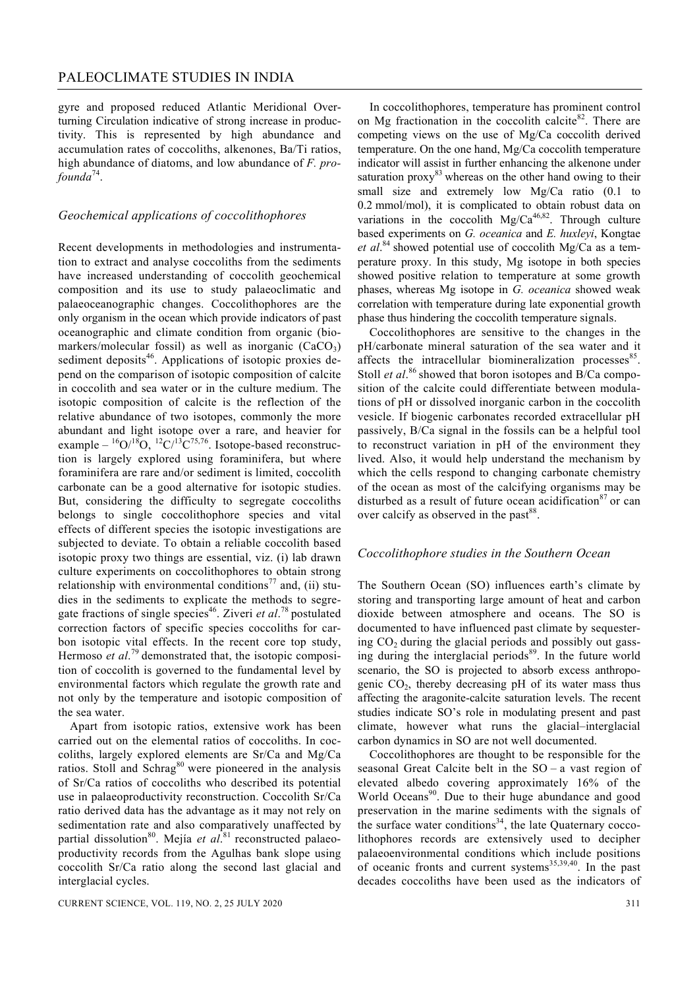gyre and proposed reduced Atlantic Meridional Overturning Circulation indicative of strong increase in productivity. This is represented by high abundance and accumulation rates of coccoliths, alkenones, Ba/Ti ratios, high abundance of diatoms, and low abundance of *F. profounda*74.

#### *Geochemical applications of coccolithophores*

Recent developments in methodologies and instrumentation to extract and analyse coccoliths from the sediments have increased understanding of coccolith geochemical composition and its use to study palaeoclimatic and palaeoceanographic changes. Coccolithophores are the only organism in the ocean which provide indicators of past oceanographic and climate condition from organic (biomarkers/molecular fossil) as well as inorganic  $(CaCO<sub>3</sub>)$ sediment deposits<sup>46</sup>. Applications of isotopic proxies depend on the comparison of isotopic composition of calcite in coccolith and sea water or in the culture medium. The isotopic composition of calcite is the reflection of the relative abundance of two isotopes, commonly the more abundant and light isotope over a rare, and heavier for example –  ${}^{16}O/{}^{18}O$ ,  ${}^{12}C/{}^{13}C^{75,76}$ . Isotope-based reconstruction is largely explored using foraminifera, but where foraminifera are rare and/or sediment is limited, coccolith carbonate can be a good alternative for isotopic studies. But, considering the difficulty to segregate coccoliths belongs to single coccolithophore species and vital effects of different species the isotopic investigations are subjected to deviate. To obtain a reliable coccolith based isotopic proxy two things are essential, viz. (i) lab drawn culture experiments on coccolithophores to obtain strong relationship with environmental conditions<sup>77</sup> and, (ii) studies in the sediments to explicate the methods to segregate fractions of single species<sup>46</sup>. Ziveri *et al*.<sup>78</sup> postulated correction factors of specific species coccoliths for carbon isotopic vital effects. In the recent core top study, Hermoso *et al.*<sup>79</sup> demonstrated that, the isotopic composition of coccolith is governed to the fundamental level by environmental factors which regulate the growth rate and not only by the temperature and isotopic composition of the sea water.

 Apart from isotopic ratios, extensive work has been carried out on the elemental ratios of coccoliths. In coccoliths, largely explored elements are Sr/Ca and Mg/Ca ratios. Stoll and Schrag<sup>80</sup> were pioneered in the analysis of Sr/Ca ratios of coccoliths who described its potential use in palaeoproductivity reconstruction. Coccolith Sr/Ca ratio derived data has the advantage as it may not rely on sedimentation rate and also comparatively unaffected by partial dissolution<sup>80</sup>. Mejía *et al*.<sup>81</sup> reconstructed palaeoproductivity records from the Agulhas bank slope using coccolith Sr/Ca ratio along the second last glacial and interglacial cycles.

CURRENT SCIENCE, VOL. 119, NO. 2, 25 JULY 2020 311

 In coccolithophores, temperature has prominent control on Mg fractionation in the coccolith calcite<sup>82</sup>. There are competing views on the use of Mg/Ca coccolith derived temperature. On the one hand, Mg/Ca coccolith temperature indicator will assist in further enhancing the alkenone under saturation proxy $83$  whereas on the other hand owing to their small size and extremely low Mg/Ca ratio (0.1 to 0.2 mmol/mol), it is complicated to obtain robust data on variations in the coccolith  $Mg/Ca^{46,82}$ . Through culture based experiments on *G. oceanica* and *E. huxleyi*, Kongtae *et al*. 84 showed potential use of coccolith Mg/Ca as a temperature proxy. In this study, Mg isotope in both species showed positive relation to temperature at some growth phases, whereas Mg isotope in *G. oceanica* showed weak correlation with temperature during late exponential growth phase thus hindering the coccolith temperature signals.

 Coccolithophores are sensitive to the changes in the pH/carbonate mineral saturation of the sea water and it affects the intracellular biomineralization processes<sup>85</sup>. Stoll *et al.*<sup>86</sup> showed that boron isotopes and B/Ca composition of the calcite could differentiate between modulations of pH or dissolved inorganic carbon in the coccolith vesicle. If biogenic carbonates recorded extracellular pH passively, B/Ca signal in the fossils can be a helpful tool to reconstruct variation in pH of the environment they lived. Also, it would help understand the mechanism by which the cells respond to changing carbonate chemistry of the ocean as most of the calcifying organisms may be disturbed as a result of future ocean acidification $87$  or can over calcify as observed in the past<sup>88</sup>.

#### *Coccolithophore studies in the Southern Ocean*

The Southern Ocean (SO) influences earth's climate by storing and transporting large amount of heat and carbon dioxide between atmosphere and oceans. The SO is documented to have influenced past climate by sequestering  $CO<sub>2</sub>$  during the glacial periods and possibly out gassing during the interglacial periods<sup>89</sup>. In the future world scenario, the SO is projected to absorb excess anthropogenic  $CO<sub>2</sub>$ , thereby decreasing pH of its water mass thus affecting the aragonite-calcite saturation levels. The recent studies indicate SO's role in modulating present and past climate, however what runs the glacial–interglacial carbon dynamics in SO are not well documented.

 Coccolithophores are thought to be responsible for the seasonal Great Calcite belt in the SO – a vast region of elevated albedo covering approximately 16% of the World Oceans<sup>90</sup>. Due to their huge abundance and good preservation in the marine sediments with the signals of the surface water conditions $34$ , the late Quaternary coccolithophores records are extensively used to decipher palaeoenvironmental conditions which include positions of oceanic fronts and current systems<sup>35,39,40</sup>. In the past decades coccoliths have been used as the indicators of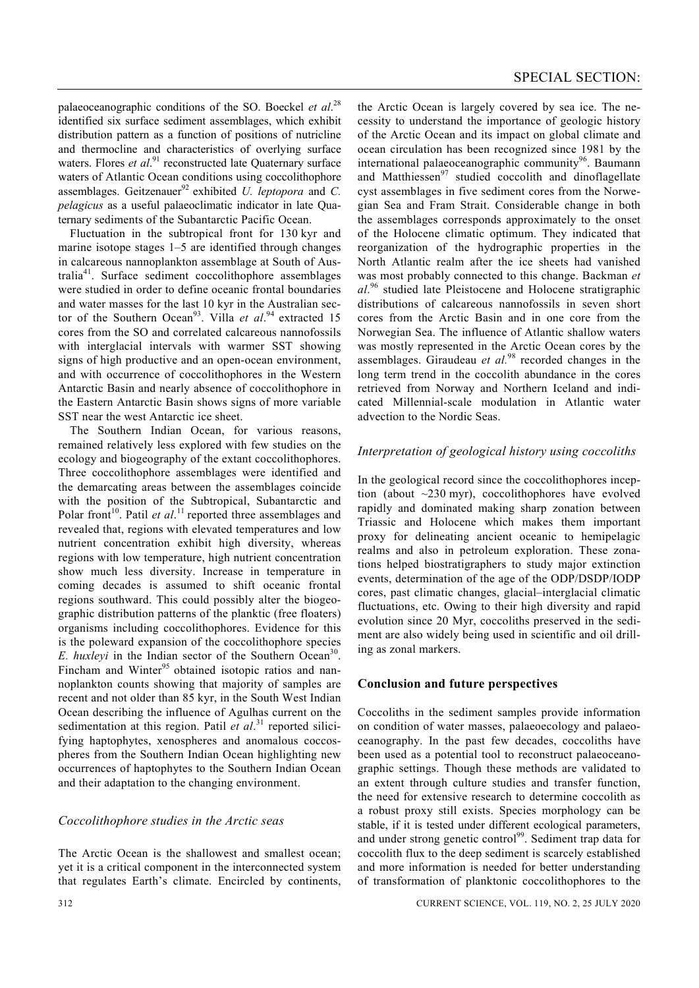palaeoceanographic conditions of the SO. Boeckel *et al*. 28 identified six surface sediment assemblages, which exhibit distribution pattern as a function of positions of nutricline and thermocline and characteristics of overlying surface waters. Flores *et al.*<sup>91</sup> reconstructed late Quaternary surface waters of Atlantic Ocean conditions using coccolithophore assemblages. Geitzenauer<sup>92</sup> exhibited *U. leptopora* and *C. pelagicus* as a useful palaeoclimatic indicator in late Quaternary sediments of the Subantarctic Pacific Ocean.

 Fluctuation in the subtropical front for 130 kyr and marine isotope stages 1–5 are identified through changes in calcareous nannoplankton assemblage at South of Australia41. Surface sediment coccolithophore assemblages were studied in order to define oceanic frontal boundaries and water masses for the last 10 kyr in the Australian sector of the Southern Ocean<sup>93</sup>. Villa *et al.*<sup>94</sup> extracted 15 cores from the SO and correlated calcareous nannofossils with interglacial intervals with warmer SST showing signs of high productive and an open-ocean environment, and with occurrence of coccolithophores in the Western Antarctic Basin and nearly absence of coccolithophore in the Eastern Antarctic Basin shows signs of more variable SST near the west Antarctic ice sheet.

 The Southern Indian Ocean, for various reasons, remained relatively less explored with few studies on the ecology and biogeography of the extant coccolithophores. Three coccolithophore assemblages were identified and the demarcating areas between the assemblages coincide with the position of the Subtropical, Subantarctic and Polar front<sup>10</sup>. Patil *et al.*<sup>11</sup> reported three assemblages and revealed that, regions with elevated temperatures and low nutrient concentration exhibit high diversity, whereas regions with low temperature, high nutrient concentration show much less diversity. Increase in temperature in coming decades is assumed to shift oceanic frontal regions southward. This could possibly alter the biogeographic distribution patterns of the planktic (free floaters) organisms including coccolithophores. Evidence for this is the poleward expansion of the coccolithophore species *E. huxleyi* in the Indian sector of the Southern Ocean<sup>30</sup>. Fincham and Winter $95$  obtained isotopic ratios and nannoplankton counts showing that majority of samples are recent and not older than 85 kyr, in the South West Indian Ocean describing the influence of Agulhas current on the sedimentation at this region. Patil *et al.*<sup>31</sup> reported silicifying haptophytes, xenospheres and anomalous coccospheres from the Southern Indian Ocean highlighting new occurrences of haptophytes to the Southern Indian Ocean and their adaptation to the changing environment.

#### *Coccolithophore studies in the Arctic seas*

The Arctic Ocean is the shallowest and smallest ocean; yet it is a critical component in the interconnected system that regulates Earth's climate. Encircled by continents, the Arctic Ocean is largely covered by sea ice. The necessity to understand the importance of geologic history of the Arctic Ocean and its impact on global climate and ocean circulation has been recognized since 1981 by the international palaeoceanographic community<sup>96</sup>. Baumann and Matthiessen<sup>97</sup> studied coccolith and dinoflagellate cyst assemblages in five sediment cores from the Norwegian Sea and Fram Strait. Considerable change in both the assemblages corresponds approximately to the onset of the Holocene climatic optimum. They indicated that reorganization of the hydrographic properties in the North Atlantic realm after the ice sheets had vanished was most probably connected to this change. Backman *et al*. 96 studied late Pleistocene and Holocene stratigraphic distributions of calcareous nannofossils in seven short cores from the Arctic Basin and in one core from the Norwegian Sea. The influence of Atlantic shallow waters was mostly represented in the Arctic Ocean cores by the assemblages. Giraudeau *et al.*98 recorded changes in the long term trend in the coccolith abundance in the cores retrieved from Norway and Northern Iceland and indicated Millennial-scale modulation in Atlantic water advection to the Nordic Seas.

#### *Interpretation of geological history using coccoliths*

In the geological record since the coccolithophores inception (about ~230 myr), coccolithophores have evolved rapidly and dominated making sharp zonation between Triassic and Holocene which makes them important proxy for delineating ancient oceanic to hemipelagic realms and also in petroleum exploration. These zonations helped biostratigraphers to study major extinction events, determination of the age of the ODP/DSDP/IODP cores, past climatic changes, glacial–interglacial climatic fluctuations, etc. Owing to their high diversity and rapid evolution since 20 Myr, coccoliths preserved in the sediment are also widely being used in scientific and oil drilling as zonal markers.

#### **Conclusion and future perspectives**

Coccoliths in the sediment samples provide information on condition of water masses, palaeoecology and palaeoceanography. In the past few decades, coccoliths have been used as a potential tool to reconstruct palaeoceanographic settings. Though these methods are validated to an extent through culture studies and transfer function, the need for extensive research to determine coccolith as a robust proxy still exists. Species morphology can be stable, if it is tested under different ecological parameters, and under strong genetic control<sup>99</sup>. Sediment trap data for coccolith flux to the deep sediment is scarcely established and more information is needed for better understanding of transformation of planktonic coccolithophores to the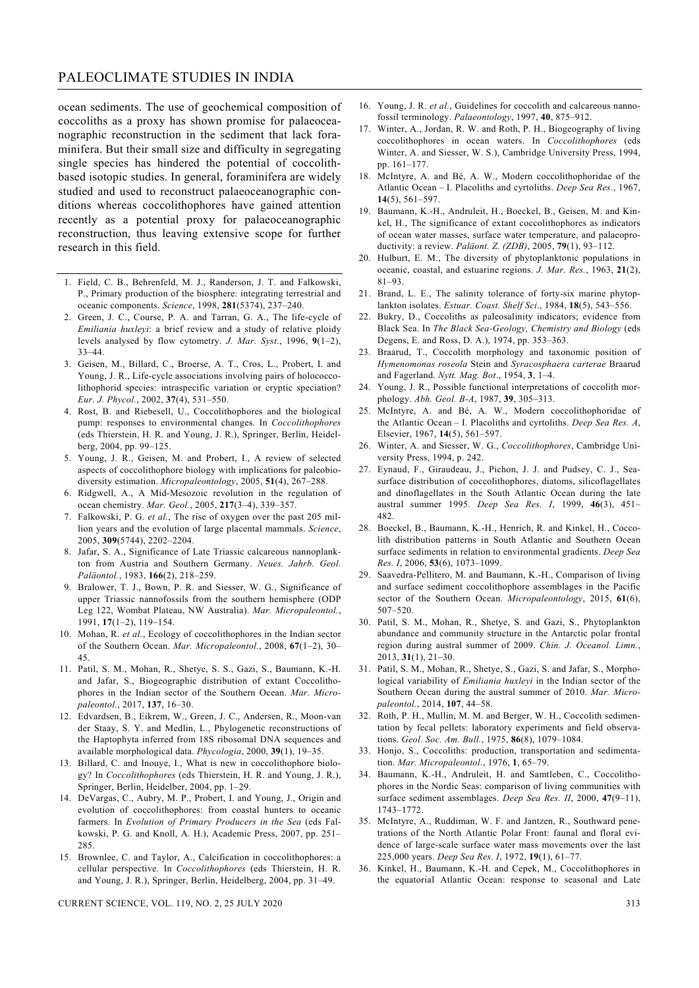#### PALEOCLIMATE STUDIES IN INDIA

ocean sediments. The use of geochemical composition of coccoliths as a proxy has shown promise for palaeoceanographic reconstruction in the sediment that lack foraminifera. But their small size and difficulty in segregating single species has hindered the potential of coccolithbased isotopic studies. In general, foraminifera are widely studied and used to reconstruct palaeoceanographic conditions whereas coccolithophores have gained attention recently as a potential proxy for palaeoceanographic reconstruction, thus leaving extensive scope for further research in this field.

- 1. Field, C. B., Behrenfeld, M. J., Randerson, J. T. and Falkowski, P., Primary production of the biosphere: integrating terrestrial and oceanic components. *Science*, 1998, **281**(5374), 237–240.
- 2. Green, J. C., Course, P. A. and Tarran, G. A., The life-cycle of *Emiliania huxleyi*: a brief review and a study of relative ploidy levels analysed by flow cytometry. *J. Mar. Syst*., 1996, **9**(1–2), 33–44.
- 3. Geisen, M., Billard, C., Broerse, A. T., Cros, L., Probert, I. and Young, J. R., Life-cycle associations involving pairs of holococcolithophorid species: intraspecific variation or cryptic speciation? *Eur. J. Phycol.*, 2002, **37**(4), 531–550.
- 4. Rost, B. and Riebesell, U., Coccolithophores and the biological pump: responses to environmental changes. In *Coccolithophores*  (eds Thierstein, H. R. and Young, J. R.), Springer, Berlin, Heidelberg, 2004, pp. 99–125.
- 5. Young, J. R., Geisen, M. and Probert, I., A review of selected aspects of coccolithophore biology with implications for paleobiodiversity estimation. *Micropaleontology*, 2005, **51**(4), 267–288.
- 6. Ridgwell, A., A Mid-Mesozoic revolution in the regulation of ocean chemistry. *Mar. Geol.*, 2005, **217**(3–4), 339–357.
- 7. Falkowski, P. G. *et al.*, The rise of oxygen over the past 205 million years and the evolution of large placental mammals. *Science*, 2005, **309**(5744), 2202–2204.
- 8. Jafar, S. A., Significance of Late Triassic calcareous nannoplankton from Austria and Southern Germany. *Neues. Jahrb. Geol. Paläontol.*, 1983, **166**(2), 218–259.
- 9. Bralower, T. J., Bown, P. R. and Siesser, W. G., Significance of upper Triassic nannofossils from the southern hemisphere (ODP Leg 122, Wombat Plateau, NW Australia). *Mar. Micropaleontol.*, 1991, **17**(1–2), 119–154.
- 10. Mohan, R. *et al.*, Ecology of coccolithophores in the Indian sector of the Southern Ocean. *Mar. Micropaleontol.*, 2008, **67**(1–2), 30– 45.
- 11. Patil, S. M., Mohan, R., Shetye, S. S., Gazi, S., Baumann, K.-H. and Jafar, S., Biogeographic distribution of extant Coccolithophores in the Indian sector of the Southern Ocean. *Mar. Micropaleontol.*, 2017, **137**, 16–30.
- 12. Edvardsen, B., Eikrem, W., Green, J. C., Andersen, R., Moon-van der Staay, S. Y. and Medlin, L., Phylogenetic reconstructions of the Haptophyta inferred from 18S ribosomal DNA sequences and available morphological data. *Phycologia*, 2000, **39**(1), 19–35.
- 13. Billard, C. and Inouye, I., What is new in coccolithophore biology? In *Coccolithophores* (eds Thierstein, H. R. and Young, J. R.), Springer, Berlin, Heidelber, 2004, pp. 1–29.
- 14. DeVargas, C., Aubry, M. P., Probert, I. and Young, J., Origin and evolution of coccolithophores: from coastal hunters to oceanic farmers. In *Evolution of Primary Producers in the Sea* (eds Falkowski, P. G. and Knoll, A. H.), Academic Press, 2007, pp. 251– 285.
- 15. Brownlee, C. and Taylor, A., Calcification in coccolithophores: a cellular perspective. In *Coccolithophores* (eds Thierstein, H. R. and Young, J. R.), Springer, Berlin, Heidelberg, 2004, pp. 31–49.
- 16. Young, J. R. *et al.*, Guidelines for coccolith and calcareous nannofossil terminology. *Palaeontology*, 1997, **40**, 875–912.
- 17. Winter, A., Jordan, R. W. and Roth, P. H., Biogeography of living coccolithophores in ocean waters. In *Coccolithophores* (eds Winter, A. and Siesser, W. S.), Cambridge University Press, 1994, pp. 161–177.
- 18. McIntyre, A. and Bé, A. W., Modern coccolithophoridae of the Atlantic Ocean – I. Placoliths and cyrtoliths. *Deep Sea Res.*, 1967, **14**(5), 561–597.
- 19. Baumann, K.-H., Andruleit, H., Boeckel, B., Geisen, M. and Kinkel, H., The significance of extant coccolithophores as indicators of ocean water masses, surface water temperature, and palaeoproductivity: a review. *Paläont. Z. (ZDB)*, 2005, **79**(1), 93–112.
- 20. Hulburt, E. M., The diversity of phytoplanktonic populations in oceanic, coastal, and estuarine regions. *J. Mar. Res.*, 1963, **21**(2), 81–93.
- 21. Brand, L. E., The salinity tolerance of forty-six marine phytoplankton isolates. *Estuar. Coast. Shelf Sci*., 1984, **18**(5), 543–556.
- 22. Bukry, D., Coccoliths as paleosalinity indicators; evidence from Black Sea. In *The Black Sea-Geology, Chemistry and Biology* (eds Degens, E. and Ross, D. A.), 1974, pp. 353–363.
- 23. Braarud, T., Coccolith morphology and taxonomic position of *Hymenomonas roseola* Stein and *Syracosphaera carterae* Braarud and Fagerland. *Nytt. Mag. Bot*., 1954, **3**, 1–4.
- 24. Young, J. R., Possible functional interpretations of coccolith morphology. *Abh. Geol. B-A*, 1987, **39**, 305–313.
- 25. McIntyre, A. and Bé, A. W., Modern coccolithophoridae of the Atlantic Ocean – I. Placoliths and cyrtoliths. *Deep Sea Res. A*, Elsevier, 1967, **14**(5), 561–597.
- 26. Winter, A. and Siesser, W. G., *Coccolithophores*, Cambridge University Press, 1994, p. 242.
- 27. Eynaud, F., Giraudeau, J., Pichon, J. J. and Pudsey, C. J., Seasurface distribution of coccolithophores, diatoms, silicoflagellates and dinoflagellates in the South Atlantic Ocean during the late austral summer 1995. *Deep Sea Res. I*, 1999, **46**(3), 451– 482.
- 28. Boeckel, B., Baumann, K.-H., Henrich, R. and Kinkel, H., Coccolith distribution patterns in South Atlantic and Southern Ocean surface sediments in relation to environmental gradients. *Deep Sea Res. I*, 2006, **53**(6), 1073–1099.
- 29. Saavedra-Pellitero, M. and Baumann, K.-H., Comparison of living and surface sediment coccolithophore assemblages in the Pacific sector of the Southern Ocean. *Micropaleontology*, 2015, **61**(6), 507–520.
- 30. Patil, S. M., Mohan, R., Shetye, S. and Gazi, S., Phytoplankton abundance and community structure in the Antarctic polar frontal region during austral summer of 2009. *Chin. J. Oceanol. Limn.*, 2013, **31**(1), 21–30.
- 31. Patil, S. M., Mohan, R., Shetye, S., Gazi, S. and Jafar, S., Morphological variability of *Emiliania huxleyi* in the Indian sector of the Southern Ocean during the austral summer of 2010. *Mar. Micropaleontol.*, 2014, **107**, 44–58.
- 32. Roth, P. H., Mullin, M. M. and Berger, W. H., Coccolith sedimentation by fecal pellets: laboratory experiments and field observations. *Geol. Soc. Am. Bull.*, 1975, **86**(8), 1079–1084.
- 33. Honjo, S., Coccoliths: production, transportation and sedimentation. *Mar. Micropaleontol*., 1976, **1**, 65–79.
- 34. Baumann, K.-H., Andruleit, H. and Samtleben, C., Coccolithophores in the Nordic Seas: comparison of living communities with surface sediment assemblages. *Deep Sea Res. II*, 2000, **47**(9–11), 1743–1772.
- 35. McIntyre, A., Ruddiman, W. F. and Jantzen, R., Southward penetrations of the North Atlantic Polar Front: faunal and floral evidence of large-scale surface water mass movements over the last 225,000 years. *Deep Sea Res. I*, 1972, **19**(1), 61–77.
- 36. Kinkel, H., Baumann, K.-H. and Cepek, M., Coccolithophores in the equatorial Atlantic Ocean: response to seasonal and Late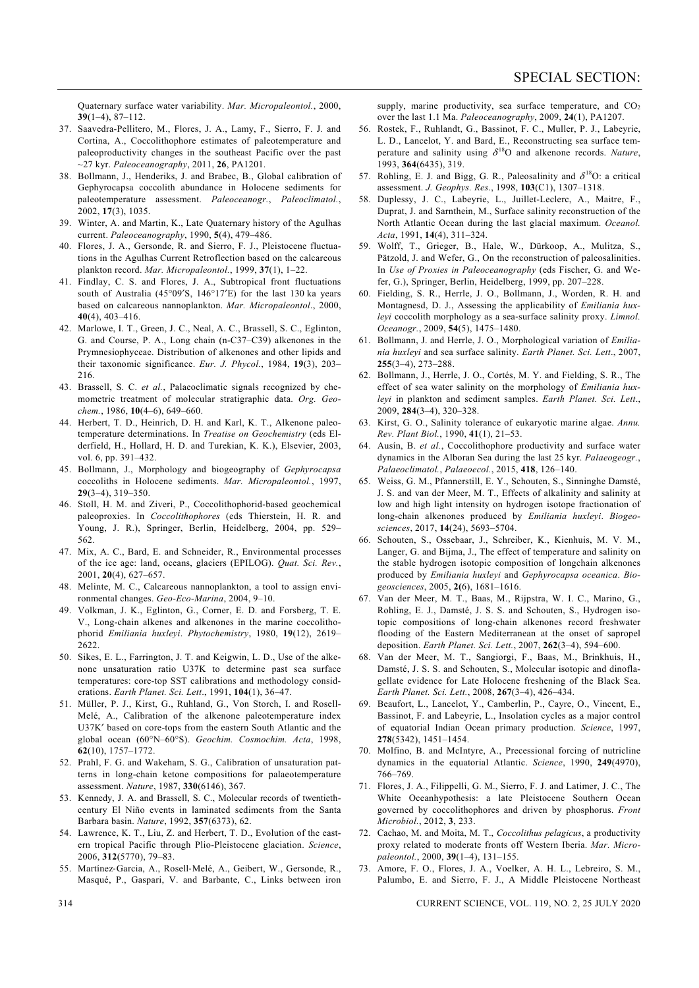Quaternary surface water variability. *Mar. Micropaleontol.*, 2000, **39**(1–4), 87–112.

- 37. Saavedra-Pellitero, M., Flores, J. A., Lamy, F., Sierro, F. J. and Cortina, A., Coccolithophore estimates of paleotemperature and paleoproductivity changes in the southeast Pacific over the past ~27 kyr. *Paleoceanography*, 2011, **26**, PA1201.
- 38. Bollmann, J., Henderiks, J. and Brabec, B., Global calibration of Gephyrocapsa coccolith abundance in Holocene sediments for paleotemperature assessment. *Paleoceanogr.*, *Paleoclimatol.*, 2002, **17**(3), 1035.
- 39. Winter, A. and Martin, K., Late Quaternary history of the Agulhas current. *Paleoceanography*, 1990, **5**(4), 479–486.
- 40. Flores, J. A., Gersonde, R. and Sierro, F. J., Pleistocene fluctuations in the Agulhas Current Retroflection based on the calcareous plankton record. *Mar. Micropaleontol.*, 1999, **37**(1), 1–22.
- 41. Findlay, C. S. and Flores, J. A., Subtropical front fluctuations south of Australia (45°09′S, 146°17′E) for the last 130 ka years based on calcareous nannoplankton. *Mar. Micropaleontol*., 2000, **40**(4), 403–416.
- 42. Marlowe, I. T., Green, J. C., Neal, A. C., Brassell, S. C., Eglinton, G. and Course, P. A., Long chain (n-C37–C39) alkenones in the Prymnesiophyceae. Distribution of alkenones and other lipids and their taxonomic significance. *Eur. J. Phycol.*, 1984, **19**(3), 203– 216.
- 43. Brassell, S. C. *et al.*, Palaeoclimatic signals recognized by chemometric treatment of molecular stratigraphic data. *Org. Geochem.*, 1986, **10**(4–6), 649–660.
- 44. Herbert, T. D., Heinrich, D. H. and Karl, K. T., Alkenone paleotemperature determinations. In *Treatise on Geochemistry* (eds Elderfield, H., Hollard, H. D. and Turekian, K. K.), Elsevier, 2003, vol. 6, pp. 391–432.
- 45. Bollmann, J., Morphology and biogeography of *Gephyrocapsa*  coccoliths in Holocene sediments. *Mar. Micropaleontol.*, 1997, **29**(3–4), 319–350.
- 46. Stoll, H. M. and Ziveri, P., Coccolithophorid-based geochemical paleoproxies. In *Coccolithophores* (eds Thierstein, H. R. and Young, J. R.), Springer, Berlin, Heidelberg, 2004, pp. 529– 562.
- 47. Mix, A. C., Bard, E. and Schneider, R., Environmental processes of the ice age: land, oceans, glaciers (EPILOG). *Quat. Sci. Rev.*, 2001, **20**(4), 627–657.
- 48. Melinte, M. C., Calcareous nannoplankton, a tool to assign environmental changes. *Geo-Eco-Marina*, 2004, 9–10.
- 49. Volkman, J. K., Eglinton, G., Corner, E. D. and Forsberg, T. E. V., Long-chain alkenes and alkenones in the marine coccolithophorid *Emiliania huxleyi*. *Phytochemistry*, 1980, **19**(12), 2619– 2622.
- 50. Sikes, E. L., Farrington, J. T. and Keigwin, L. D., Use of the alkenone unsaturation ratio U37K to determine past sea surface temperatures: core-top SST calibrations and methodology considerations. *Earth Planet. Sci. Lett*., 1991, **104**(1), 36–47.
- 51. Müller, P. J., Kirst, G., Ruhland, G., Von Storch, I. and Rosell-Melé, A., Calibration of the alkenone paleotemperature index U37K′ based on core-tops from the eastern South Atlantic and the global ocean (60°N–60°S). *Geochim. Cosmochim. Acta*, 1998, **62**(10), 1757–1772.
- 52. Prahl, F. G. and Wakeham, S. G., Calibration of unsaturation patterns in long-chain ketone compositions for palaeotemperature assessment. *Nature*, 1987, **330**(6146), 367.
- 53. Kennedy, J. A. and Brassell, S. C., Molecular records of twentiethcentury El Niño events in laminated sediments from the Santa Barbara basin. *Nature*, 1992, **357**(6373), 62.
- 54. Lawrence, K. T., Liu, Z. and Herbert, T. D., Evolution of the eastern tropical Pacific through Plio-Pleistocene glaciation. *Science*, 2006, **312**(5770), 79–83.
- 55. Martínez‐Garcia, A., Rosell‐Melé, A., Geibert, W., Gersonde, R., Masqué, P., Gaspari, V. and Barbante, C., Links between iron

supply, marine productivity, sea surface temperature, and  $CO<sub>2</sub>$ over the last 1.1 Ma. *Paleoceanography*, 2009, **24**(1), PA1207.

- 56. Rostek, F., Ruhlandt, G., Bassinot, F. C., Muller, P. J., Labeyrie, L. D., Lancelot, Y. and Bard, E., Reconstructing sea surface temperature and salinity using δ18O and alkenone records. *Nature*, 1993, **364**(6435), 319.
- 57. Rohling, E. J. and Bigg, G. R., Paleosalinity and  $\delta^{18}O$ : a critical assessment. *J. Geophys. Res*., 1998, **103**(C1), 1307–1318.
- 58. Duplessy, J. C., Labeyrie, L., Juillet-Leclerc, A., Maitre, F., Duprat, J. and Sarnthein, M., Surface salinity reconstruction of the North Atlantic Ocean during the last glacial maximum. *Oceanol. Acta*, 1991, **14**(4), 311–324.
- 59. Wolff, T., Grieger, B., Hale, W., Dürkoop, A., Mulitza, S., Pätzold, J. and Wefer, G., On the reconstruction of paleosalinities. In *Use of Proxies in Paleoceanography* (eds Fischer, G. and Wefer, G.), Springer, Berlin, Heidelberg, 1999, pp. 207–228.
- 60. Fielding, S. R., Herrle, J. O., Bollmann, J., Worden, R. H. and Montagnesd, D. J., Assessing the applicability of *Emiliania huxleyi* coccolith morphology as a sea‐surface salinity proxy. *Limnol. Oceanogr.*, 2009, **54**(5), 1475–1480.
- 61. Bollmann, J. and Herrle, J. O., Morphological variation of *Emiliania huxleyi* and sea surface salinity. *Earth Planet. Sci. Lett*., 2007, **255**(3–4), 273–288.
- 62. Bollmann, J., Herrle, J. O., Cortés, M. Y. and Fielding, S. R., The effect of sea water salinity on the morphology of *Emiliania huxleyi* in plankton and sediment samples. *Earth Planet. Sci. Lett*., 2009, **284**(3–4), 320–328.
- 63. Kirst, G. O., Salinity tolerance of eukaryotic marine algae. *Annu. Rev. Plant Biol.*, 1990, **41**(1), 21–53.
- 64. Ausín, B. *et al.*, Coccolithophore productivity and surface water dynamics in the Alboran Sea during the last 25 kyr. *Palaeogeogr.*, *Palaeoclimatol.*, *Palaeoecol.*, 2015, **418**, 126–140.
- 65. Weiss, G. M., Pfannerstill, E. Y., Schouten, S., Sinninghe Damsté, J. S. and van der Meer, M. T., Effects of alkalinity and salinity at low and high light intensity on hydrogen isotope fractionation of long-chain alkenones produced by *Emiliania huxleyi*. *Biogeosciences*, 2017, **14**(24), 5693–5704.
- 66. Schouten, S., Ossebaar, J., Schreiber, K., Kienhuis, M. V. M., Langer, G. and Bijma, J., The effect of temperature and salinity on the stable hydrogen isotopic composition of longchain alkenones produced by *Emiliania huxleyi* and *Gephyrocapsa oceanica*. *Biogeosciences*, 2005, **2(**6), 1681–1616.
- 67. Van der Meer, M. T., Baas, M., Rijpstra, W. I. C., Marino, G., Rohling, E. J., Damsté, J. S. S. and Schouten, S., Hydrogen isotopic compositions of long-chain alkenones record freshwater flooding of the Eastern Mediterranean at the onset of sapropel deposition. *Earth Planet. Sci. Lett.*, 2007, **262**(3–4), 594–600.
- 68. Van der Meer, M. T., Sangiorgi, F., Baas, M., Brinkhuis, H., Damsté, J. S. S. and Schouten, S., Molecular isotopic and dinoflagellate evidence for Late Holocene freshening of the Black Sea. *Earth Planet. Sci. Lett.*, 2008, **267**(3–4), 426–434.
- 69. Beaufort, L., Lancelot, Y., Camberlin, P., Cayre, O., Vincent, E., Bassinot, F. and Labeyrie, L., Insolation cycles as a major control of equatorial Indian Ocean primary production. *Science*, 1997, **278**(5342), 1451–1454.
- 70. Molfino, B. and McIntyre, A., Precessional forcing of nutricline dynamics in the equatorial Atlantic. *Science*, 1990, **249**(4970), 766–769.
- 71. Flores, J. A., Filippelli, G. M., Sierro, F. J. and Latimer, J. C., The White Oceanhypothesis: a late Pleistocene Southern Ocean governed by coccolithophores and driven by phosphorus. *Front Microbiol.*, 2012, **3**, 233.
- 72. Cachao, M. and Moita, M. T., *Coccolithus pelagicus*, a productivity proxy related to moderate fronts off Western Iberia. *Mar. Micropaleontol.*, 2000, **39**(1–4), 131–155.
- 73. Amore, F. O., Flores, J. A., Voelker, A. H. L., Lebreiro, S. M., Palumbo, E. and Sierro, F. J., A Middle Pleistocene Northeast